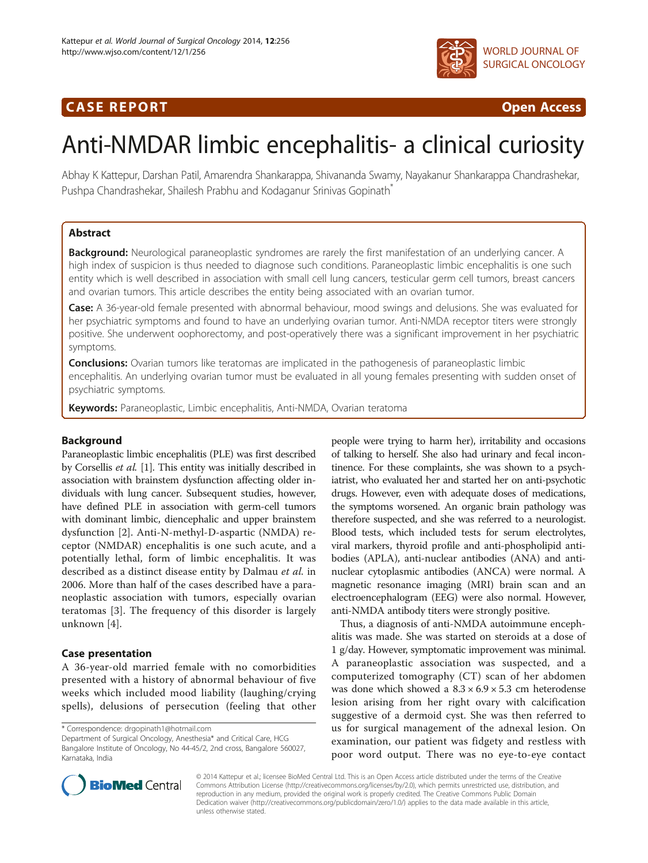# CA S E R E POR T Open Access



# Anti-NMDAR limbic encephalitis- a clinical curiosity

Abhay K Kattepur, Darshan Patil, Amarendra Shankarappa, Shivananda Swamy, Nayakanur Shankarappa Chandrashekar, Pushpa Chandrashekar, Shailesh Prabhu and Kodaganur Srinivas Gopinath\*

# Abstract

**Background:** Neurological paraneoplastic syndromes are rarely the first manifestation of an underlying cancer. A high index of suspicion is thus needed to diagnose such conditions. Paraneoplastic limbic encephalitis is one such entity which is well described in association with small cell lung cancers, testicular germ cell tumors, breast cancers and ovarian tumors. This article describes the entity being associated with an ovarian tumor.

Case: A 36-year-old female presented with abnormal behaviour, mood swings and delusions. She was evaluated for her psychiatric symptoms and found to have an underlying ovarian tumor. Anti-NMDA receptor titers were strongly positive. She underwent oophorectomy, and post-operatively there was a significant improvement in her psychiatric symptoms.

**Conclusions:** Ovarian tumors like teratomas are implicated in the pathogenesis of paraneoplastic limbic encephalitis. An underlying ovarian tumor must be evaluated in all young females presenting with sudden onset of psychiatric symptoms.

Keywords: Paraneoplastic, Limbic encephalitis, Anti-NMDA, Ovarian teratoma

# Background

Paraneoplastic limbic encephalitis (PLE) was first described by Corsellis et al. [\[1](#page-3-0)]. This entity was initially described in association with brainstem dysfunction affecting older individuals with lung cancer. Subsequent studies, however, have defined PLE in association with germ-cell tumors with dominant limbic, diencephalic and upper brainstem dysfunction [[2\]](#page-3-0). Anti-N-methyl-D-aspartic (NMDA) receptor (NMDAR) encephalitis is one such acute, and a potentially lethal, form of limbic encephalitis. It was described as a distinct disease entity by Dalmau et al. in 2006. More than half of the cases described have a paraneoplastic association with tumors, especially ovarian teratomas [[3\]](#page-3-0). The frequency of this disorder is largely unknown [[4\]](#page-3-0).

# Case presentation

A 36-year-old married female with no comorbidities presented with a history of abnormal behaviour of five weeks which included mood liability (laughing/crying spells), delusions of persecution (feeling that other

\* Correspondence: [drgopinath1@hotmail.com](mailto:drgopinath1@hotmail.com)

Department of Surgical Oncology, Anesthesia\* and Critical Care, HCG Bangalore Institute of Oncology, No 44-45/2, 2nd cross, Bangalore 560027, Karnataka, India

people were trying to harm her), irritability and occasions of talking to herself. She also had urinary and fecal incontinence. For these complaints, she was shown to a psychiatrist, who evaluated her and started her on anti-psychotic drugs. However, even with adequate doses of medications, the symptoms worsened. An organic brain pathology was therefore suspected, and she was referred to a neurologist. Blood tests, which included tests for serum electrolytes, viral markers, thyroid profile and anti-phospholipid antibodies (APLA), anti-nuclear antibodies (ANA) and antinuclear cytoplasmic antibodies (ANCA) were normal. A magnetic resonance imaging (MRI) brain scan and an electroencephalogram (EEG) were also normal. However, anti-NMDA antibody titers were strongly positive.

Thus, a diagnosis of anti-NMDA autoimmune encephalitis was made. She was started on steroids at a dose of 1 g/day. However, symptomatic improvement was minimal. A paraneoplastic association was suspected, and a computerized tomography (CT) scan of her abdomen was done which showed a  $8.3 \times 6.9 \times 5.3$  cm heterodense lesion arising from her right ovary with calcification suggestive of a dermoid cyst. She was then referred to us for surgical management of the adnexal lesion. On examination, our patient was fidgety and restless with poor word output. There was no eye-to-eye contact



© 2014 Kattepur et al.; licensee BioMed Central Ltd. This is an Open Access article distributed under the terms of the Creative Commons Attribution License [\(http://creativecommons.org/licenses/by/2.0\)](http://creativecommons.org/licenses/by/2.0), which permits unrestricted use, distribution, and reproduction in any medium, provided the original work is properly credited. The Creative Commons Public Domain Dedication waiver [\(http://creativecommons.org/publicdomain/zero/1.0/](http://creativecommons.org/publicdomain/zero/1.0/)) applies to the data made available in this article, unless otherwise stated.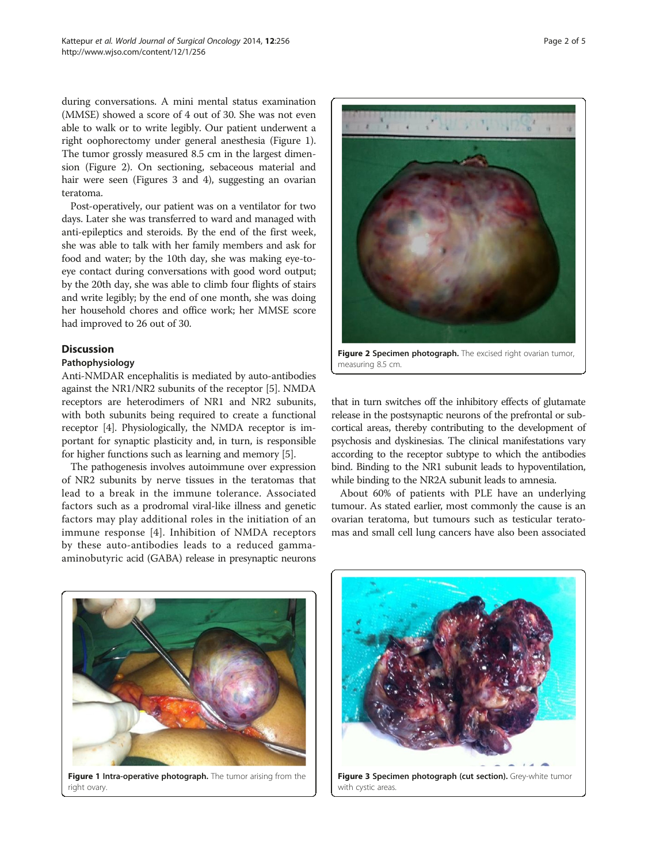during conversations. A mini mental status examination (MMSE) showed a score of 4 out of 30. She was not even able to walk or to write legibly. Our patient underwent a right oophorectomy under general anesthesia (Figure 1). The tumor grossly measured 8.5 cm in the largest dimension (Figure 2). On sectioning, sebaceous material and hair were seen (Figures 3 and [4\)](#page-2-0), suggesting an ovarian teratoma.

Post-operatively, our patient was on a ventilator for two days. Later she was transferred to ward and managed with anti-epileptics and steroids. By the end of the first week, she was able to talk with her family members and ask for food and water; by the 10th day, she was making eye-toeye contact during conversations with good word output; by the 20th day, she was able to climb four flights of stairs and write legibly; by the end of one month, she was doing her household chores and office work; her MMSE score had improved to 26 out of 30.

# Discussion

#### Pathophysiology

Anti-NMDAR encephalitis is mediated by auto-antibodies against the NR1/NR2 subunits of the receptor [\[5](#page-4-0)]. NMDA receptors are heterodimers of NR1 and NR2 subunits, with both subunits being required to create a functional receptor [[4](#page-3-0)]. Physiologically, the NMDA receptor is important for synaptic plasticity and, in turn, is responsible for higher functions such as learning and memory [\[5](#page-4-0)].

The pathogenesis involves autoimmune over expression of NR2 subunits by nerve tissues in the teratomas that lead to a break in the immune tolerance. Associated factors such as a prodromal viral-like illness and genetic factors may play additional roles in the initiation of an immune response [[4](#page-3-0)]. Inhibition of NMDA receptors by these auto-antibodies leads to a reduced gammaaminobutyric acid (GABA) release in presynaptic neurons

Figure 2 Specimen photograph. The excised right ovarian tumor,

that in turn switches off the inhibitory effects of glutamate release in the postsynaptic neurons of the prefrontal or subcortical areas, thereby contributing to the development of psychosis and dyskinesias. The clinical manifestations vary according to the receptor subtype to which the antibodies bind. Binding to the NR1 subunit leads to hypoventilation, while binding to the NR2A subunit leads to amnesia.

measuring 8.5 cm.

About 60% of patients with PLE have an underlying tumour. As stated earlier, most commonly the cause is an ovarian teratoma, but tumours such as testicular teratomas and small cell lung cancers have also been associated



right ovary

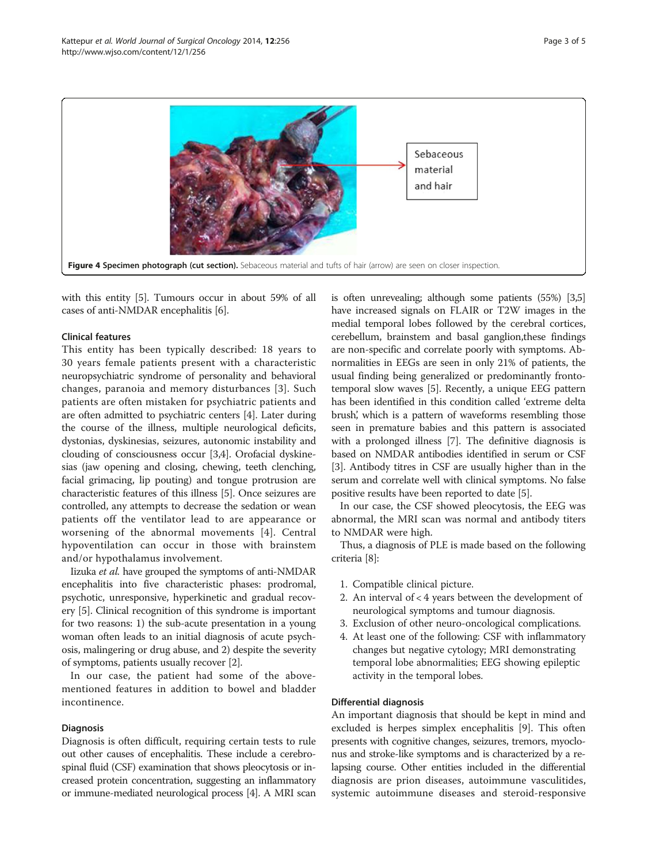<span id="page-2-0"></span>

with this entity [\[5](#page-4-0)]. Tumours occur in about 59% of all cases of anti-NMDAR encephalitis [\[6](#page-4-0)].

#### Clinical features

This entity has been typically described: 18 years to 30 years female patients present with a characteristic neuropsychiatric syndrome of personality and behavioral changes, paranoia and memory disturbances [[3\]](#page-3-0). Such patients are often mistaken for psychiatric patients and are often admitted to psychiatric centers [[4\]](#page-3-0). Later during the course of the illness, multiple neurological deficits, dystonias, dyskinesias, seizures, autonomic instability and clouding of consciousness occur [[3,4](#page-3-0)]. Orofacial dyskinesias (jaw opening and closing, chewing, teeth clenching, facial grimacing, lip pouting) and tongue protrusion are characteristic features of this illness [\[5\]](#page-4-0). Once seizures are controlled, any attempts to decrease the sedation or wean patients off the ventilator lead to are appearance or worsening of the abnormal movements [[4\]](#page-3-0). Central hypoventilation can occur in those with brainstem and/or hypothalamus involvement.

Iizuka et al. have grouped the symptoms of anti-NMDAR encephalitis into five characteristic phases: prodromal, psychotic, unresponsive, hyperkinetic and gradual recovery [\[5\]](#page-4-0). Clinical recognition of this syndrome is important for two reasons: 1) the sub-acute presentation in a young woman often leads to an initial diagnosis of acute psychosis, malingering or drug abuse, and 2) despite the severity of symptoms, patients usually recover [\[2\]](#page-3-0).

In our case, the patient had some of the abovementioned features in addition to bowel and bladder incontinence.

#### **Diagnosis**

Diagnosis is often difficult, requiring certain tests to rule out other causes of encephalitis. These include a cerebrospinal fluid (CSF) examination that shows pleocytosis or increased protein concentration, suggesting an inflammatory or immune-mediated neurological process [[4](#page-3-0)]. A MRI scan is often unrevealing; although some patients (55%) [\[3,](#page-3-0)[5](#page-4-0)] have increased signals on FLAIR or T2W images in the medial temporal lobes followed by the cerebral cortices, cerebellum, brainstem and basal ganglion,these findings are non-specific and correlate poorly with symptoms. Abnormalities in EEGs are seen in only 21% of patients, the usual finding being generalized or predominantly frontotemporal slow waves [[5\]](#page-4-0). Recently, a unique EEG pattern has been identified in this condition called 'extreme delta brush', which is a pattern of waveforms resembling those seen in premature babies and this pattern is associated with a prolonged illness [[7\]](#page-4-0). The definitive diagnosis is based on NMDAR antibodies identified in serum or CSF [[3\]](#page-3-0). Antibody titres in CSF are usually higher than in the serum and correlate well with clinical symptoms. No false positive results have been reported to date [\[5](#page-4-0)].

In our case, the CSF showed pleocytosis, the EEG was abnormal, the MRI scan was normal and antibody titers to NMDAR were high.

Thus, a diagnosis of PLE is made based on the following criteria [[8](#page-4-0)]:

- 1. Compatible clinical picture.
- 2. An interval of < 4 years between the development of neurological symptoms and tumour diagnosis.
- 3. Exclusion of other neuro-oncological complications.
- 4. At least one of the following: CSF with inflammatory changes but negative cytology; MRI demonstrating temporal lobe abnormalities; EEG showing epileptic activity in the temporal lobes.

#### Differential diagnosis

An important diagnosis that should be kept in mind and excluded is herpes simplex encephalitis [\[9\]](#page-4-0). This often presents with cognitive changes, seizures, tremors, myoclonus and stroke-like symptoms and is characterized by a relapsing course. Other entities included in the differential diagnosis are prion diseases, autoimmune vasculitides, systemic autoimmune diseases and steroid-responsive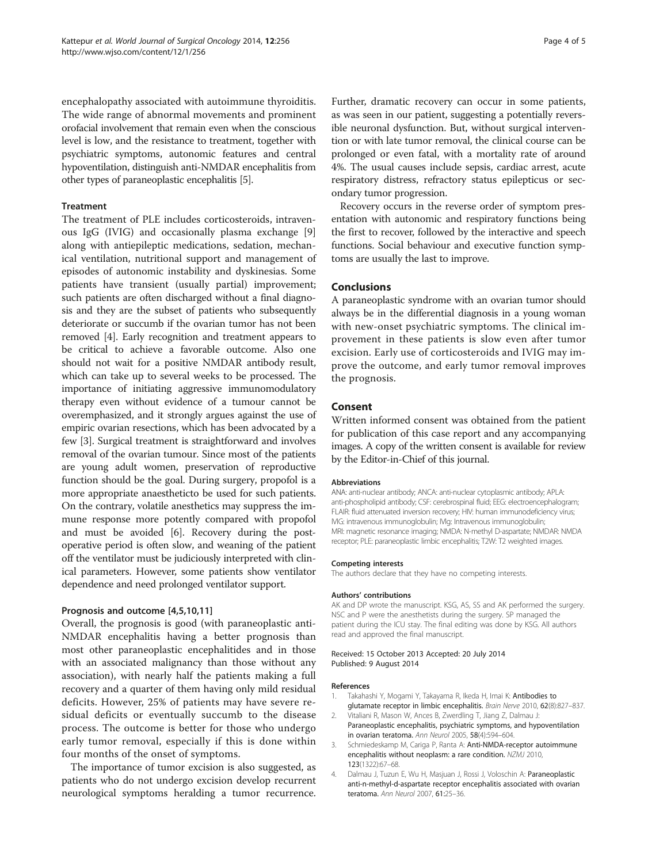<span id="page-3-0"></span>encephalopathy associated with autoimmune thyroiditis. The wide range of abnormal movements and prominent orofacial involvement that remain even when the conscious level is low, and the resistance to treatment, together with psychiatric symptoms, autonomic features and central hypoventilation, distinguish anti-NMDAR encephalitis from other types of paraneoplastic encephalitis [\[5\]](#page-4-0).

#### Treatment

The treatment of PLE includes corticosteroids, intravenous IgG (IVIG) and occasionally plasma exchange [\[9](#page-4-0)] along with antiepileptic medications, sedation, mechanical ventilation, nutritional support and management of episodes of autonomic instability and dyskinesias. Some patients have transient (usually partial) improvement; such patients are often discharged without a final diagnosis and they are the subset of patients who subsequently deteriorate or succumb if the ovarian tumor has not been removed [4]. Early recognition and treatment appears to be critical to achieve a favorable outcome. Also one should not wait for a positive NMDAR antibody result, which can take up to several weeks to be processed. The importance of initiating aggressive immunomodulatory therapy even without evidence of a tumour cannot be overemphasized, and it strongly argues against the use of empiric ovarian resections, which has been advocated by a few [3]. Surgical treatment is straightforward and involves removal of the ovarian tumour. Since most of the patients are young adult women, preservation of reproductive function should be the goal. During surgery, propofol is a more appropriate anaestheticto be used for such patients. On the contrary, volatile anesthetics may suppress the immune response more potently compared with propofol and must be avoided [[6\]](#page-4-0). Recovery during the postoperative period is often slow, and weaning of the patient off the ventilator must be judiciously interpreted with clinical parameters. However, some patients show ventilator dependence and need prolonged ventilator support.

#### Prognosis and outcome [4[,5,10,11\]](#page-4-0)

Overall, the prognosis is good (with paraneoplastic anti-NMDAR encephalitis having a better prognosis than most other paraneoplastic encephalitides and in those with an associated malignancy than those without any association), with nearly half the patients making a full recovery and a quarter of them having only mild residual deficits. However, 25% of patients may have severe residual deficits or eventually succumb to the disease process. The outcome is better for those who undergo early tumor removal, especially if this is done within four months of the onset of symptoms.

The importance of tumor excision is also suggested, as patients who do not undergo excision develop recurrent neurological symptoms heralding a tumor recurrence. Further, dramatic recovery can occur in some patients, as was seen in our patient, suggesting a potentially reversible neuronal dysfunction. But, without surgical intervention or with late tumor removal, the clinical course can be prolonged or even fatal, with a mortality rate of around 4%. The usual causes include sepsis, cardiac arrest, acute respiratory distress, refractory status epilepticus or secondary tumor progression.

Recovery occurs in the reverse order of symptom presentation with autonomic and respiratory functions being the first to recover, followed by the interactive and speech functions. Social behaviour and executive function symptoms are usually the last to improve.

## Conclusions

A paraneoplastic syndrome with an ovarian tumor should always be in the differential diagnosis in a young woman with new-onset psychiatric symptoms. The clinical improvement in these patients is slow even after tumor excision. Early use of corticosteroids and IVIG may improve the outcome, and early tumor removal improves the prognosis.

## Consent

Written informed consent was obtained from the patient for publication of this case report and any accompanying images. A copy of the written consent is available for review by the Editor-in-Chief of this journal.

#### Abbreviations

ANA: anti-nuclear antibody; ANCA: anti-nuclear cytoplasmic antibody; APLA: anti-phospholipid antibody; CSF: cerebrospinal fluid; EEG: electroencephalogram; FLAIR: fluid attenuated inversion recovery; HIV: human immunodeficiency virus; IVIG: intravenous immunoglobulin; IVIg: Intravenous immunoglobulin; MRI: magnetic resonance imaging; NMDA: N-methyl D-aspartate; NMDAR: NMDA receptor; PLE: paraneoplastic limbic encephalitis; T2W: T2 weighted images.

#### Competing interests

The authors declare that they have no competing interests.

#### Authors' contributions

AK and DP wrote the manuscript. KSG, AS, SS and AK performed the surgery. NSC and P were the anesthetists during the surgery. SP managed the patient during the ICU stay. The final editing was done by KSG. All authors read and approved the final manuscript.

#### Received: 15 October 2013 Accepted: 20 July 2014 Published: 9 August 2014

#### References

- 1. Takahashi Y, Mogami Y, Takayama R, Ikeda H, Imai K: Antibodies to glutamate receptor in limbic encephalitis. Brain Nerve 2010, 62(8):827–837.
- 2. Vitaliani R, Mason W, Ances B, Zwerdling T, Jiang Z, Dalmau J: Paraneoplastic encephalitis, psychiatric symptoms, and hypoventilation in ovarian teratoma. Ann Neurol 2005, 58(4):594–604.
- 3. Schmiedeskamp M, Cariga P, Ranta A: Anti-NMDA-receptor autoimmune encephalitis without neoplasm: a rare condition. NZMJ 2010, 123(1322):67–68.
- 4. Dalmau J, Tuzun E, Wu H, Masjuan J, Rossi J, Voloschin A: Paraneoplastic anti-n-methyl-d-aspartate receptor encephalitis associated with ovarian teratoma. Ann Neurol 2007, 61:25–36.